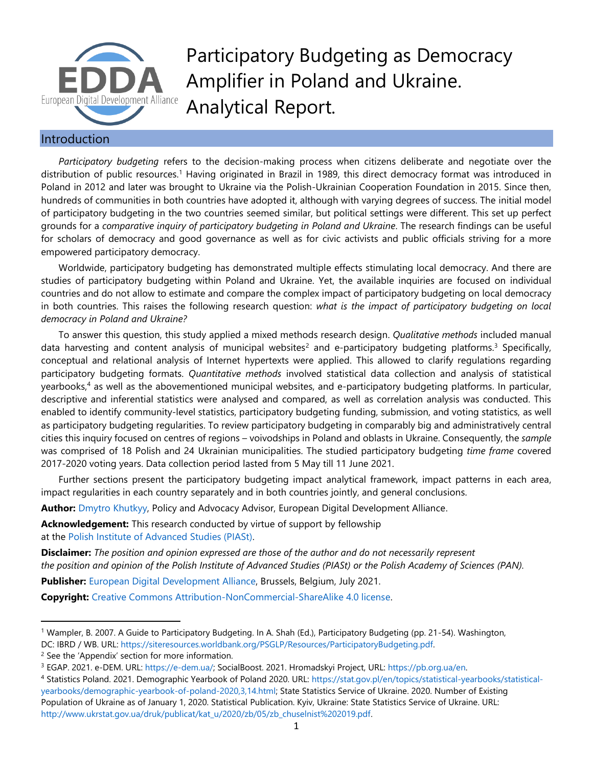

Participatory Budgeting as Democracy Amplifier in Poland and Ukraine. Analytical Report.

## Introduction

*Participatory budgeting* refers to the decision-making process when citizens deliberate and negotiate over the distribution of public resources. <sup>1</sup> Having originated in Brazil in 1989, this direct democracy format was introduced in Poland in 2012 and later was brought to Ukraine via the Polish-Ukrainian Cooperation Foundation in 2015. Since then, hundreds of communities in both countries have adopted it, although with varying degrees of success. The initial model of participatory budgeting in the two countries seemed similar, but political settings were different. This set up perfect grounds for a *comparative inquiry of participatory budgeting in Poland and Ukraine*. The research findings can be useful for scholars of democracy and good governance as well as for civic activists and public officials striving for a more empowered participatory democracy.

Worldwide, participatory budgeting has demonstrated multiple effects stimulating local democracy. And there are studies of participatory budgeting within Poland and Ukraine. Yet, the available inquiries are focused on individual countries and do not allow to estimate and compare the complex impact of participatory budgeting on local democracy in both countries. This raises the following research question: *what is the impact of participatory budgeting on local democracy in Poland and Ukraine?*

To answer this question, this study applied a mixed methods research design. *Qualitative methods* included manual data harvesting and content analysis of municipal websites<sup>2</sup> and e-participatory budgeting platforms.<sup>3</sup> Specifically, conceptual and relational analysis of Internet hypertexts were applied. This allowed to clarify regulations regarding participatory budgeting formats. *Quantitative methods* involved statistical data collection and analysis of statistical yearbooks,<sup>4</sup> as well as the abovementioned municipal websites, and e-participatory budgeting platforms. In particular, descriptive and inferential statistics were analysed and compared, as well as correlation analysis was conducted. This enabled to identify community-level statistics, participatory budgeting funding, submission, and voting statistics, as well as participatory budgeting regularities. To review participatory budgeting in comparably big and administratively central cities this inquiry focused on centres of regions – voivodships in Poland and oblasts in Ukraine. Consequently, the *sample* was comprised of 18 Polish and 24 Ukrainian municipalities. The studied participatory budgeting *time frame* covered 2017-2020 voting years. Data collection period lasted from 5 May till 11 June 2021.

Further sections present the participatory budgeting impact analytical framework, impact patterns in each area, impact regularities in each country separately and in both countries jointly, and general conclusions.

**Author:** [Dmytro Khutkyy,](http://www.khutkyy.com/) Policy and Advocacy Advisor, European Digital Development Alliance.

**Acknowledgement:** This research conducted by virtue of support by fellowship at the [Polish Institute of Advanced Studies \(PIASt\).](https://piast.pan.pl/index.php?lang=en)

**Disclaimer:** *The position and opinion expressed are those of the author and do not necessarily represent the position and opinion of the Polish Institute of Advanced Studies (PIASt) or the Polish Academy of Sciences (PAN).*

**Publisher:** [European Digital Development Alliance,](http://www.europeandigital.org/) Brussels, Belgium, July 2021.

**Copyright:** [Creative Commons Attribution-NonCommercial-ShareAlike 4.0 license.](https://creativecommons.org/licenses/by-nc-sa/4.0/)

<sup>1</sup> Wampler, B. 2007. A Guide to Participatory Budgeting. In A. Shah (Ed.), Participatory Budgeting (pp. 21-54). Washington, DC: IBRD / WB. URL: [https://siteresources.worldbank.org/PSGLP/Resources/ParticipatoryBudgeting.pdf.](https://siteresources.worldbank.org/PSGLP/Resources/ParticipatoryBudgeting.pdf)

<sup>&</sup>lt;sup>2</sup> See the 'Appendix' section for more information.

<sup>3</sup> EGAP. 2021. e-DEM. URL: [https://e-dem.ua/;](https://e-dem.ua/) SocialBoost. 2021. Hromadskyi Project, URL[: https://pb.org.ua/en.](https://pb.org.ua/en)

<sup>4</sup> Statistics Poland. 2021. Demographic Yearbook of Poland 2020. URL: [https://stat.gov.pl/en/topics/statistical-yearbooks/statistical](https://stat.gov.pl/en/topics/statistical-yearbooks/statistical-yearbooks/demographic-yearbook-of-poland-2020,3,14.html)[yearbooks/demographic-yearbook-of-poland-2020,3,14.html;](https://stat.gov.pl/en/topics/statistical-yearbooks/statistical-yearbooks/demographic-yearbook-of-poland-2020,3,14.html) State Statistics Service of Ukraine. 2020. Number of Existing Population of Ukraine as of January 1, 2020. Statistical Publication. Kyiv, Ukraine: State Statistics Service of Ukraine. URL: [http://www.ukrstat.gov.ua/druk/publicat/kat\\_u/2020/zb/05/zb\\_chuselnist%202019.pdf.](http://www.ukrstat.gov.ua/druk/publicat/kat_u/2020/zb/05/zb_chuselnist%202019.pdf)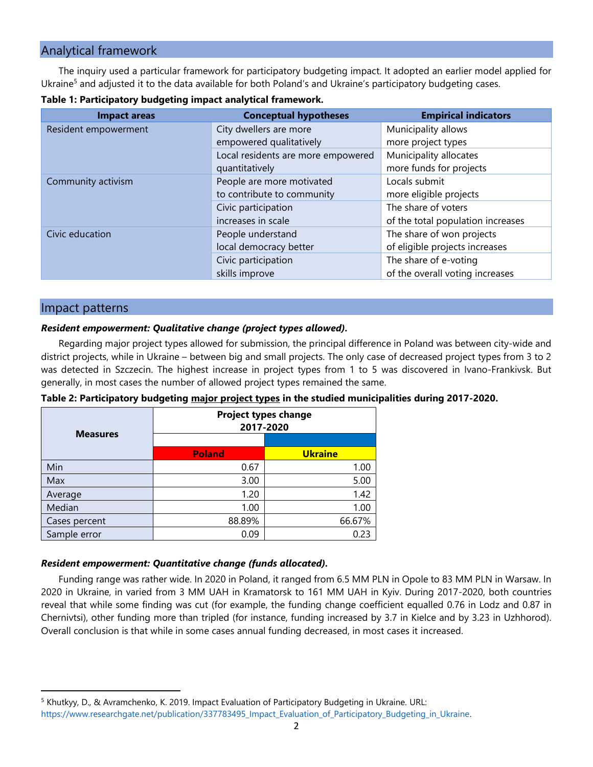# Analytical framework

The inquiry used a particular framework for participatory budgeting impact. It adopted an earlier model applied for Ukraine<sup>5</sup> and adjusted it to the data available for both Poland's and Ukraine's participatory budgeting cases.

| <b>Impact areas</b>  | <b>Conceptual hypotheses</b>       | <b>Empirical indicators</b>       |
|----------------------|------------------------------------|-----------------------------------|
| Resident empowerment | City dwellers are more             | Municipality allows               |
|                      | empowered qualitatively            | more project types                |
|                      | Local residents are more empowered | Municipality allocates            |
|                      | quantitatively                     | more funds for projects           |
| Community activism   | People are more motivated          | Locals submit                     |
|                      | to contribute to community         | more eligible projects            |
|                      | Civic participation                | The share of voters               |
|                      | increases in scale                 | of the total population increases |
| Civic education      | People understand                  | The share of won projects         |
|                      | local democracy better             | of eligible projects increases    |
|                      | Civic participation                | The share of e-voting             |
|                      | skills improve                     | of the overall voting increases   |

## Impact patterns

## *Resident empowerment: Qualitative change (project types allowed).*

Regarding major project types allowed for submission, the principal difference in Poland was between city-wide and district projects, while in Ukraine – between big and small projects. The only case of decreased project types from 3 to 2 was detected in Szczecin. The highest increase in project types from 1 to 5 was discovered in Ivano-Frankivsk. But generally, in most cases the number of allowed project types remained the same.

**Table 2: Participatory budgeting major project types in the studied municipalities during 2017-2020.**

| <b>Measures</b> |               | <b>Project types change</b><br>2017-2020 |
|-----------------|---------------|------------------------------------------|
|                 | <b>Poland</b> | <b>Ukraine</b>                           |
| Min             | 0.67          | 1.00                                     |
| Max             | 3.00          | 5.00                                     |
| Average         | 1.20          | 1.42                                     |
| Median          | 1.00          | 1.00                                     |
| Cases percent   | 88.89%        | 66.67%                                   |
| Sample error    | 0.09          | 0.23                                     |

#### *Resident empowerment: Quantitative change (funds allocated).*

Funding range was rather wide. In 2020 in Poland, it ranged from 6.5 MM PLN in Opole to 83 MM PLN in Warsaw. In 2020 in Ukraine, in varied from 3 MM UAH in Kramatorsk to 161 MM UAH in Kyiv. During 2017-2020, both countries reveal that while some finding was cut (for example, the funding change coefficient equalled 0.76 in Lodz and 0.87 in Chernivtsi), other funding more than tripled (for instance, funding increased by 3.7 in Kielce and by 3.23 in Uzhhorod). Overall conclusion is that while in some cases annual funding decreased, in most cases it increased.

<sup>5</sup> Khutkyy, D., & Avramchenko, K. 2019. Impact Evaluation of Participatory Budgeting in Ukraine. URL: [https://www.researchgate.net/publication/337783495\\_Impact\\_Evaluation\\_of\\_Participatory\\_Budgeting\\_in\\_Ukraine.](https://www.researchgate.net/publication/337783495_Impact_Evaluation_of_Participatory_Budgeting_in_Ukraine)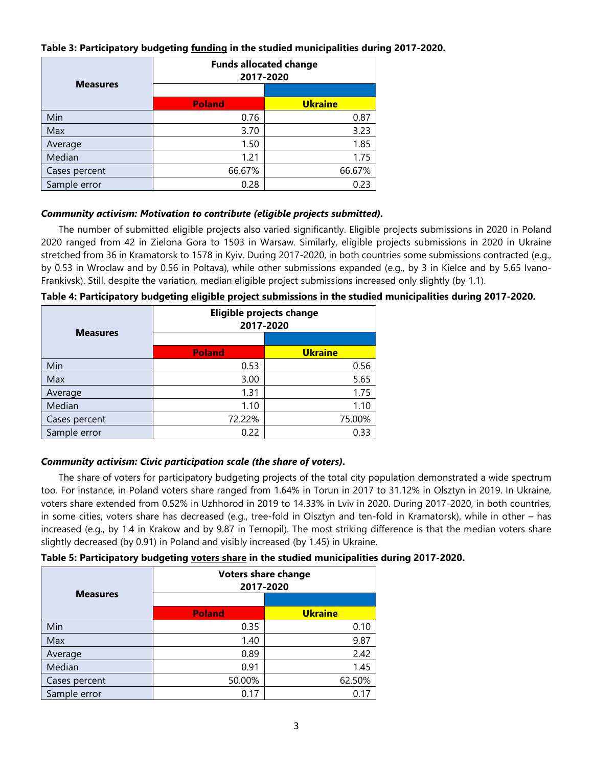## **Table 3: Participatory budgeting funding in the studied municipalities during 2017-2020.**

| <b>Measures</b> |               | <b>Funds allocated change</b><br>2017-2020 |
|-----------------|---------------|--------------------------------------------|
|                 |               |                                            |
|                 | <b>Poland</b> | <b>Ukraine</b>                             |
| Min             | 0.76          | 0.87                                       |
| Max             | 3.70          | 3.23                                       |
| Average         | 1.50          | 1.85                                       |
| Median          | 1.21          | 1.75                                       |
| Cases percent   | 66.67%        | 66.67%                                     |
| Sample error    | 0.28          | 0.23                                       |

### *Community activism: Motivation to contribute (eligible projects submitted).*

The number of submitted eligible projects also varied significantly. Eligible projects submissions in 2020 in Poland 2020 ranged from 42 in Zielona Gora to 1503 in Warsaw. Similarly, eligible projects submissions in 2020 in Ukraine stretched from 36 in Kramatorsk to 1578 in Kyiv. During 2017-2020, in both countries some submissions contracted (e.g., by 0.53 in Wroclaw and by 0.56 in Poltava), while other submissions expanded (e.g., by 3 in Kielce and by 5.65 Ivano-Frankivsk). Still, despite the variation, median eligible project submissions increased only slightly (by 1.1).

| <b>Measures</b> |               | Eligible projects change<br>2017-2020 |
|-----------------|---------------|---------------------------------------|
|                 | <b>Poland</b> | <b>Ukraine</b>                        |
| Min             | 0.53          | 0.56                                  |
| Max             | 3.00          | 5.65                                  |
| Average         | 1.31          | 1.75                                  |
| Median          | 1.10          | 1.10                                  |
| Cases percent   | 72.22%        | 75.00%                                |
| Sample error    | 0.22          | 0.33                                  |

## **Table 4: Participatory budgeting eligible project submissions in the studied municipalities during 2017-2020.**

## *Community activism: Civic participation scale (the share of voters).*

The share of voters for participatory budgeting projects of the total city population demonstrated a wide spectrum too. For instance, in Poland voters share ranged from 1.64% in Torun in 2017 to 31.12% in Olsztyn in 2019. In Ukraine, voters share extended from 0.52% in Uzhhorod in 2019 to 14.33% in Lviv in 2020. During 2017-2020, in both countries, in some cities, voters share has decreased (e.g., tree-fold in Olsztyn and ten-fold in Kramatorsk), while in other – has increased (e.g., by 1.4 in Krakow and by 9.87 in Ternopil). The most striking difference is that the median voters share slightly decreased (by 0.91) in Poland and visibly increased (by 1.45) in Ukraine.

## **Table 5: Participatory budgeting voters share in the studied municipalities during 2017-2020.**

| <b>Measures</b> |               | <b>Voters share change</b><br>2017-2020 |
|-----------------|---------------|-----------------------------------------|
|                 | <b>Poland</b> | <b>Ukraine</b>                          |
|                 |               |                                         |
| Min             | 0.35          | 0.10                                    |
| Max             | 1.40          | 9.87                                    |
| Average         | 0.89          | 2.42                                    |
| Median          | 0.91          | 1.45                                    |
| Cases percent   | 50.00%        | 62.50%                                  |
| Sample error    | 0.17          |                                         |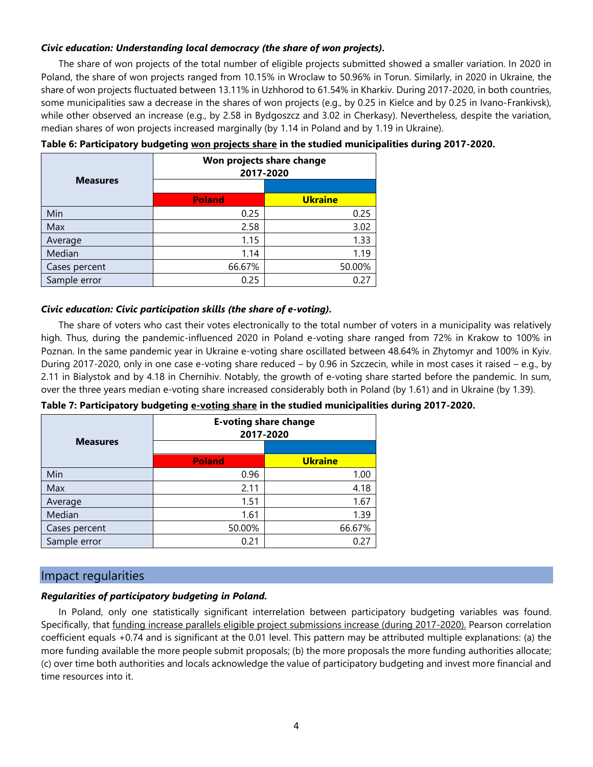## *Civic education: Understanding local democracy (the share of won projects).*

The share of won projects of the total number of eligible projects submitted showed a smaller variation. In 2020 in Poland, the share of won projects ranged from 10.15% in Wroclaw to 50.96% in Torun. Similarly, in 2020 in Ukraine, the share of won projects fluctuated between 13.11% in Uzhhorod to 61.54% in Kharkiv. During 2017-2020, in both countries, some municipalities saw a decrease in the shares of won projects (e.g., by 0.25 in Kielce and by 0.25 in Ivano-Frankivsk), while other observed an increase (e.g., by 2.58 in Bydgoszcz and 3.02 in Cherkasy). Nevertheless, despite the variation, median shares of won projects increased marginally (by 1.14 in Poland and by 1.19 in Ukraine).

| <b>Measures</b> |               | Won projects share change<br>2017-2020 |
|-----------------|---------------|----------------------------------------|
|                 |               |                                        |
|                 | <b>Poland</b> | <b>Ukraine</b>                         |
| Min             | 0.25          | 0.25                                   |
| Max             | 2.58          | 3.02                                   |
| Average         | 1.15          | 1.33                                   |
| Median          | 1.14          | 1.19                                   |
| Cases percent   | 66.67%        | 50.00%                                 |
| Sample error    | 0.25          | 0.27                                   |

#### **Table 6: Participatory budgeting won projects share in the studied municipalities during 2017-2020.**

#### *Civic education: Civic participation skills (the share of e-voting).*

The share of voters who cast their votes electronically to the total number of voters in a municipality was relatively high. Thus, during the pandemic-influenced 2020 in Poland e-voting share ranged from 72% in Krakow to 100% in Poznan. In the same pandemic year in Ukraine e-voting share oscillated between 48.64% in Zhytomyr and 100% in Kyiv. During 2017-2020, only in one case e-voting share reduced – by 0.96 in Szczecin, while in most cases it raised – e.g., by 2.11 in Bialystok and by 4.18 in Chernihiv. Notably, the growth of e-voting share started before the pandemic. In sum, over the three years median e-voting share increased considerably both in Poland (by 1.61) and in Ukraine (by 1.39).

| <b>Measures</b> |               | <b>E-voting share change</b><br>2017-2020 |
|-----------------|---------------|-------------------------------------------|
|                 |               |                                           |
|                 | <b>Poland</b> | <b>Ukraine</b>                            |
| Min             | 0.96          | 1.00                                      |
| Max             | 2.11          | 4.18                                      |
| Average         | 1.51          | 1.67                                      |
| Median          | 1.61          | 1.39                                      |
| Cases percent   | 50.00%        | 66.67%                                    |
| Sample error    | 0.21          | 0.27                                      |

**Table 7: Participatory budgeting e-voting share in the studied municipalities during 2017-2020.**

## Impact regularities

#### *Regularities of participatory budgeting in Poland.*

In Poland, only one statistically significant interrelation between participatory budgeting variables was found. Specifically, that funding increase parallels eligible project submissions increase (during 2017-2020). Pearson correlation coefficient equals +0.74 and is significant at the 0.01 level. This pattern may be attributed multiple explanations: (a) the more funding available the more people submit proposals; (b) the more proposals the more funding authorities allocate; (c) over time both authorities and locals acknowledge the value of participatory budgeting and invest more financial and time resources into it.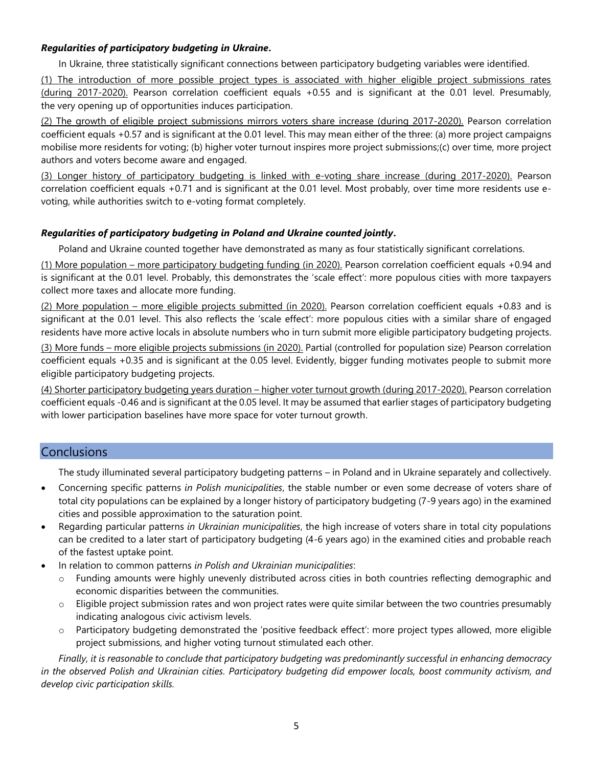## *Regularities of participatory budgeting in Ukraine***.**

In Ukraine, three statistically significant connections between participatory budgeting variables were identified.

(1) The introduction of more possible project types is associated with higher eligible project submissions rates (during 2017-2020). Pearson correlation coefficient equals +0.55 and is significant at the 0.01 level. Presumably, the very opening up of opportunities induces participation.

(2) The growth of eligible project submissions mirrors voters share increase (during 2017-2020). Pearson correlation coefficient equals +0.57 and is significant at the 0.01 level. This may mean either of the three: (a) more project campaigns mobilise more residents for voting; (b) higher voter turnout inspires more project submissions;(c) over time, more project authors and voters become aware and engaged.

(3) Longer history of participatory budgeting is linked with e-voting share increase (during 2017-2020). Pearson correlation coefficient equals +0.71 and is significant at the 0.01 level. Most probably, over time more residents use evoting, while authorities switch to e-voting format completely.

## *Regularities of participatory budgeting in Poland and Ukraine counted jointly***.**

Poland and Ukraine counted together have demonstrated as many as four statistically significant correlations.

(1) More population – more participatory budgeting funding (in 2020). Pearson correlation coefficient equals +0.94 and is significant at the 0.01 level. Probably, this demonstrates the 'scale effect': more populous cities with more taxpayers collect more taxes and allocate more funding.

(2) More population – more eligible projects submitted (in 2020). Pearson correlation coefficient equals +0.83 and is significant at the 0.01 level. This also reflects the 'scale effect': more populous cities with a similar share of engaged residents have more active locals in absolute numbers who in turn submit more eligible participatory budgeting projects.

(3) More funds – more eligible projects submissions (in 2020). Partial (controlled for population size) Pearson correlation coefficient equals +0.35 and is significant at the 0.05 level. Evidently, bigger funding motivates people to submit more eligible participatory budgeting projects.

(4) Shorter participatory budgeting years duration – higher voter turnout growth (during 2017-2020). Pearson correlation coefficient equals -0.46 and is significant at the 0.05 level. It may be assumed that earlier stages of participatory budgeting with lower participation baselines have more space for voter turnout growth.

# **Conclusions**

The study illuminated several participatory budgeting patterns – in Poland and in Ukraine separately and collectively.

- Concerning specific patterns *in Polish municipalities*, the stable number or even some decrease of voters share of total city populations can be explained by a longer history of participatory budgeting (7-9 years ago) in the examined cities and possible approximation to the saturation point.
- Regarding particular patterns *in Ukrainian municipalities*, the high increase of voters share in total city populations can be credited to a later start of participatory budgeting (4-6 years ago) in the examined cities and probable reach of the fastest uptake point.
- In relation to common patterns *in Polish and Ukrainian municipalities*:
	- o Funding amounts were highly unevenly distributed across cities in both countries reflecting demographic and economic disparities between the communities.
	- $\circ$  Eligible project submission rates and won project rates were quite similar between the two countries presumably indicating analogous civic activism levels.
	- o Participatory budgeting demonstrated the 'positive feedback effect': more project types allowed, more eligible project submissions, and higher voting turnout stimulated each other.

*Finally, it is reasonable to conclude that participatory budgeting was predominantly successful in enhancing democracy in the observed Polish and Ukrainian cities. Participatory budgeting did empower locals, boost community activism, and develop civic participation skills.*